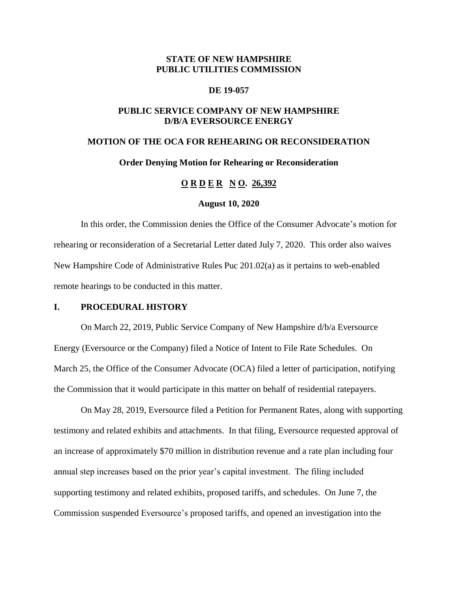# **STATE OF NEW HAMPSHIRE PUBLIC UTILITIES COMMISSION**

### **DE 19-057**

## **PUBLIC SERVICE COMPANY OF NEW HAMPSHIRE D/B/A EVERSOURCE ENERGY**

# **MOTION OF THE OCA FOR REHEARING OR RECONSIDERATION**

## **Order Denying Motion for Rehearing or Reconsideration**

# **O R D E R N O. 26,392**

## **August 10, 2020**

In this order, the Commission denies the Office of the Consumer Advocate's motion for rehearing or reconsideration of a Secretarial Letter dated July 7, 2020. This order also waives New Hampshire Code of Administrative Rules Puc 201.02(a) as it pertains to web-enabled remote hearings to be conducted in this matter.

### **I. PROCEDURAL HISTORY**

On March 22, 2019, Public Service Company of New Hampshire d/b/a Eversource Energy (Eversource or the Company) filed a Notice of Intent to File Rate Schedules. On March 25, the Office of the Consumer Advocate (OCA) filed a letter of participation, notifying the Commission that it would participate in this matter on behalf of residential ratepayers.

On May 28, 2019, Eversource filed a Petition for Permanent Rates, along with supporting testimony and related exhibits and attachments. In that filing, Eversource requested approval of an increase of approximately \$70 million in distribution revenue and a rate plan including four annual step increases based on the prior year's capital investment. The filing included supporting testimony and related exhibits, proposed tariffs, and schedules. On June 7, the Commission suspended Eversource's proposed tariffs, and opened an investigation into the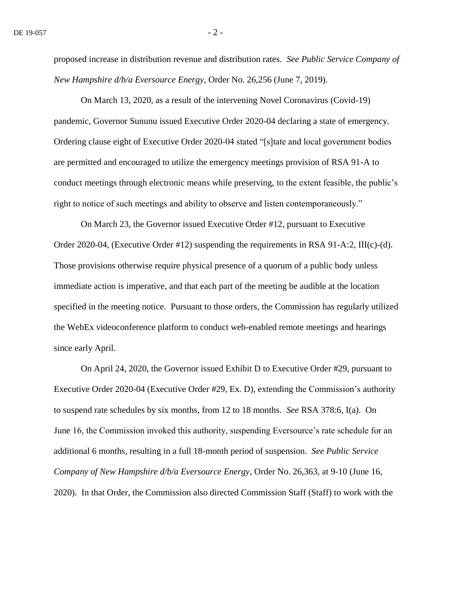proposed increase in distribution revenue and distribution rates. *See Public Service Company of New Hampshire d/b/a Eversource Energy*, Order No. 26,256 (June 7, 2019).

On March 13, 2020, as a result of the intervening Novel Coronavirus (Covid-19) pandemic, Governor Sununu issued Executive Order 2020-04 declaring a state of emergency. Ordering clause eight of Executive Order 2020-04 stated "[s]tate and local government bodies are permitted and encouraged to utilize the emergency meetings provision of RSA 91-A to conduct meetings through electronic means while preserving, to the extent feasible, the public's right to notice of such meetings and ability to observe and listen contemporaneously."

On March 23, the Governor issued Executive Order #12, pursuant to Executive Order 2020-04, (Executive Order #12) suspending the requirements in RSA 91-A:2, III(c)-(d). Those provisions otherwise require physical presence of a quorum of a public body unless immediate action is imperative, and that each part of the meeting be audible at the location specified in the meeting notice. Pursuant to those orders, the Commission has regularly utilized the WebEx videoconference platform to conduct web-enabled remote meetings and hearings since early April.

On April 24, 2020, the Governor issued Exhibit D to Executive Order #29, pursuant to Executive Order 2020-04 (Executive Order #29, Ex. D), extending the Commission's authority to suspend rate schedules by six months, from 12 to 18 months. *See* RSA 378:6, I(a). On June 16, the Commission invoked this authority, suspending Eversource's rate schedule for an additional 6 months, resulting in a full 18-month period of suspension. *See Public Service Company of New Hampshire d/b/a Eversource Energy*, Order No. 26,363, at 9-10 (June 16, 2020). In that Order, the Commission also directed Commission Staff (Staff) to work with the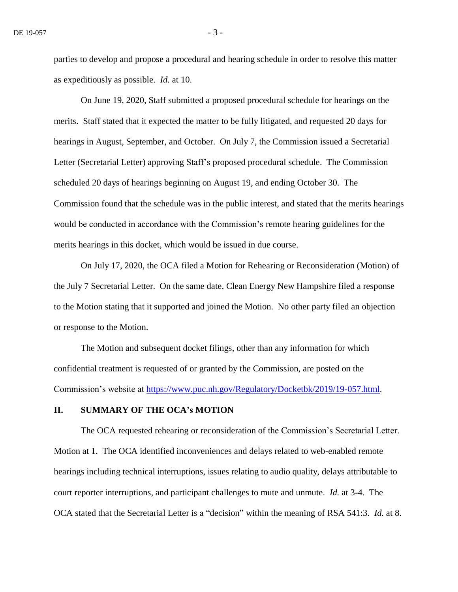parties to develop and propose a procedural and hearing schedule in order to resolve this matter as expeditiously as possible. *Id*. at 10.

On June 19, 2020, Staff submitted a proposed procedural schedule for hearings on the merits. Staff stated that it expected the matter to be fully litigated, and requested 20 days for hearings in August, September, and October. On July 7, the Commission issued a Secretarial Letter (Secretarial Letter) approving Staff's proposed procedural schedule. The Commission scheduled 20 days of hearings beginning on August 19, and ending October 30. The Commission found that the schedule was in the public interest, and stated that the merits hearings would be conducted in accordance with the Commission's remote hearing guidelines for the merits hearings in this docket, which would be issued in due course.

On July 17, 2020, the OCA filed a Motion for Rehearing or Reconsideration (Motion) of the July 7 Secretarial Letter. On the same date, Clean Energy New Hampshire filed a response to the Motion stating that it supported and joined the Motion. No other party filed an objection or response to the Motion.

The Motion and subsequent docket filings, other than any information for which confidential treatment is requested of or granted by the Commission, are posted on the Commission's website at [https://www.puc.nh.gov/Regulatory/Docketbk/2019/19-057.html.](https://www.puc.nh.gov/Regulatory/Docketbk/2019/19-057.html)

# **II. SUMMARY OF THE OCA's MOTION**

The OCA requested rehearing or reconsideration of the Commission's Secretarial Letter. Motion at 1. The OCA identified inconveniences and delays related to web-enabled remote hearings including technical interruptions, issues relating to audio quality, delays attributable to court reporter interruptions, and participant challenges to mute and unmute. *Id.* at 3-4. The OCA stated that the Secretarial Letter is a "decision" within the meaning of RSA 541:3. *Id.* at 8.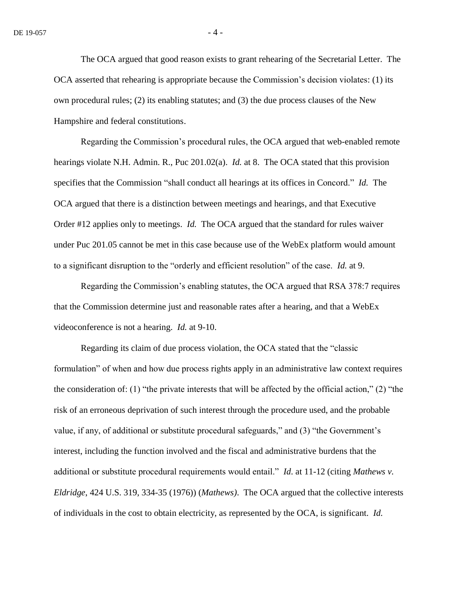The OCA argued that good reason exists to grant rehearing of the Secretarial Letter. The OCA asserted that rehearing is appropriate because the Commission's decision violates: (1) its own procedural rules; (2) its enabling statutes; and (3) the due process clauses of the New Hampshire and federal constitutions.

Regarding the Commission's procedural rules, the OCA argued that web-enabled remote hearings violate N.H. Admin. R., Puc 201.02(a). *Id.* at 8. The OCA stated that this provision specifies that the Commission "shall conduct all hearings at its offices in Concord." *Id.* The OCA argued that there is a distinction between meetings and hearings, and that Executive Order #12 applies only to meetings. *Id.* The OCA argued that the standard for rules waiver under Puc 201.05 cannot be met in this case because use of the WebEx platform would amount to a significant disruption to the "orderly and efficient resolution" of the case. *Id.* at 9.

Regarding the Commission's enabling statutes, the OCA argued that RSA 378:7 requires that the Commission determine just and reasonable rates after a hearing, and that a WebEx videoconference is not a hearing. *Id.* at 9-10.

Regarding its claim of due process violation, the OCA stated that the "classic formulation" of when and how due process rights apply in an administrative law context requires the consideration of: (1) "the private interests that will be affected by the official action," (2) "the risk of an erroneous deprivation of such interest through the procedure used, and the probable value, if any, of additional or substitute procedural safeguards," and (3) "the Government's interest, including the function involved and the fiscal and administrative burdens that the additional or substitute procedural requirements would entail." *Id*. at 11-12 (citing *Mathews v. Eldridge*, 424 U.S. 319, 334-35 (1976)) (*Mathews)*. The OCA argued that the collective interests of individuals in the cost to obtain electricity, as represented by the OCA, is significant. *Id.*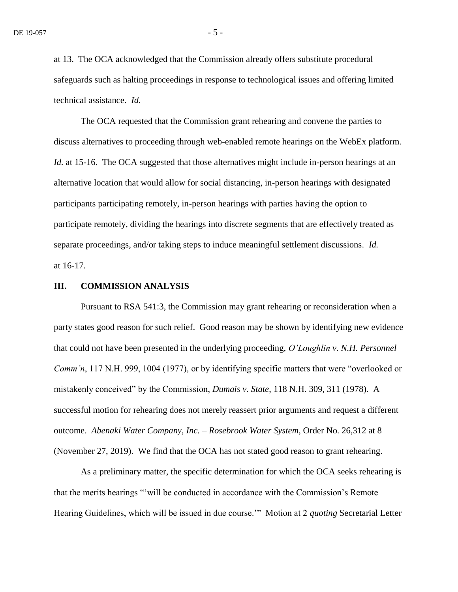at 13. The OCA acknowledged that the Commission already offers substitute procedural safeguards such as halting proceedings in response to technological issues and offering limited technical assistance. *Id.*

The OCA requested that the Commission grant rehearing and convene the parties to discuss alternatives to proceeding through web-enabled remote hearings on the WebEx platform. *Id.* at 15-16. The OCA suggested that those alternatives might include in-person hearings at an alternative location that would allow for social distancing, in-person hearings with designated participants participating remotely, in-person hearings with parties having the option to participate remotely, dividing the hearings into discrete segments that are effectively treated as separate proceedings, and/or taking steps to induce meaningful settlement discussions. *Id.* at 16-17.

## **III. COMMISSION ANALYSIS**

Pursuant to RSA 541:3, the Commission may grant rehearing or reconsideration when a party states good reason for such relief. Good reason may be shown by identifying new evidence that could not have been presented in the underlying proceeding, *O'Loughlin v. N.H. Personnel Comm'n*, 117 N.H. 999, 1004 (1977), or by identifying specific matters that were "overlooked or mistakenly conceived" by the Commission, *Dumais v. State*, 118 N.H. 309, 311 (1978). A successful motion for rehearing does not merely reassert prior arguments and request a different outcome. *Abenaki Water Company, Inc. – Rosebrook Water System*, Order No. 26,312 at 8 (November 27, 2019). We find that the OCA has not stated good reason to grant rehearing.

As a preliminary matter, the specific determination for which the OCA seeks rehearing is that the merits hearings "'will be conducted in accordance with the Commission's Remote Hearing Guidelines, which will be issued in due course.'" Motion at 2 *quoting* Secretarial Letter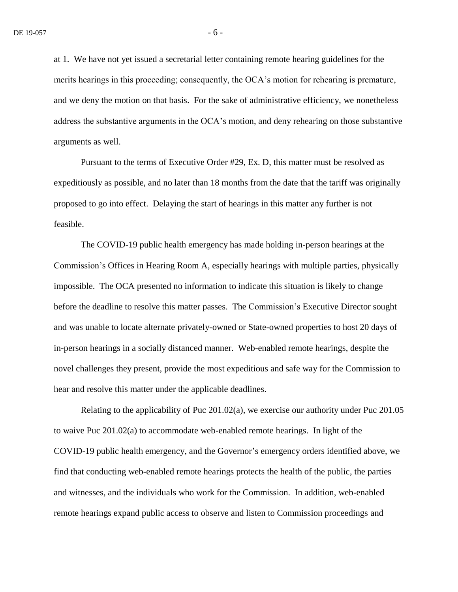at 1. We have not yet issued a secretarial letter containing remote hearing guidelines for the merits hearings in this proceeding; consequently, the OCA's motion for rehearing is premature, and we deny the motion on that basis. For the sake of administrative efficiency, we nonetheless address the substantive arguments in the OCA's motion, and deny rehearing on those substantive arguments as well.

Pursuant to the terms of Executive Order #29, Ex. D, this matter must be resolved as expeditiously as possible, and no later than 18 months from the date that the tariff was originally proposed to go into effect. Delaying the start of hearings in this matter any further is not feasible.

The COVID-19 public health emergency has made holding in-person hearings at the Commission's Offices in Hearing Room A, especially hearings with multiple parties, physically impossible. The OCA presented no information to indicate this situation is likely to change before the deadline to resolve this matter passes. The Commission's Executive Director sought and was unable to locate alternate privately-owned or State-owned properties to host 20 days of in-person hearings in a socially distanced manner. Web-enabled remote hearings, despite the novel challenges they present, provide the most expeditious and safe way for the Commission to hear and resolve this matter under the applicable deadlines.

Relating to the applicability of Puc 201.02(a), we exercise our authority under Puc 201.05 to waive Puc 201.02(a) to accommodate web-enabled remote hearings. In light of the COVID-19 public health emergency, and the Governor's emergency orders identified above, we find that conducting web-enabled remote hearings protects the health of the public, the parties and witnesses, and the individuals who work for the Commission. In addition, web-enabled remote hearings expand public access to observe and listen to Commission proceedings and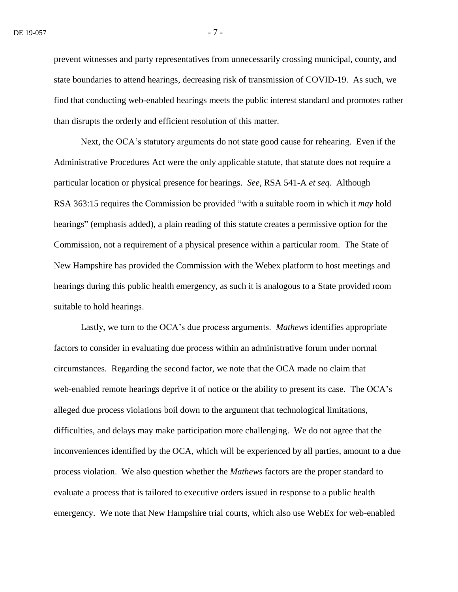prevent witnesses and party representatives from unnecessarily crossing municipal, county, and state boundaries to attend hearings, decreasing risk of transmission of COVID-19. As such, we find that conducting web-enabled hearings meets the public interest standard and promotes rather than disrupts the orderly and efficient resolution of this matter.

Next, the OCA's statutory arguments do not state good cause for rehearing. Even if the Administrative Procedures Act were the only applicable statute, that statute does not require a particular location or physical presence for hearings. *See*, RSA 541-A *et seq*. Although RSA 363:15 requires the Commission be provided "with a suitable room in which it *may* hold hearings" (emphasis added), a plain reading of this statute creates a permissive option for the Commission, not a requirement of a physical presence within a particular room. The State of New Hampshire has provided the Commission with the Webex platform to host meetings and hearings during this public health emergency, as such it is analogous to a State provided room suitable to hold hearings.

Lastly, we turn to the OCA's due process arguments. *Mathews* identifies appropriate factors to consider in evaluating due process within an administrative forum under normal circumstances. Regarding the second factor, we note that the OCA made no claim that web-enabled remote hearings deprive it of notice or the ability to present its case. The OCA's alleged due process violations boil down to the argument that technological limitations, difficulties, and delays may make participation more challenging. We do not agree that the inconveniences identified by the OCA, which will be experienced by all parties, amount to a due process violation. We also question whether the *Mathews* factors are the proper standard to evaluate a process that is tailored to executive orders issued in response to a public health emergency. We note that New Hampshire trial courts, which also use WebEx for web-enabled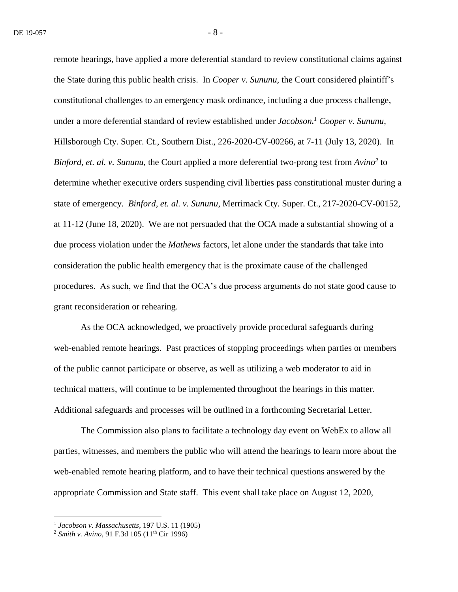remote hearings, have applied a more deferential standard to review constitutional claims against the State during this public health crisis. In *Cooper v. Sununu*, the Court considered plaintiff's constitutional challenges to an emergency mask ordinance, including a due process challenge, under a more deferential standard of review established under *Jacobson. <sup>1</sup> Cooper v. Sununu*, Hillsborough Cty. Super. Ct., Southern Dist., 226-2020-CV-00266, at 7-11 (July 13, 2020). In *Binford, et. al. v. Sununu,* the Court applied a more deferential two-prong test from *Avino<sup>2</sup>* to determine whether executive orders suspending civil liberties pass constitutional muster during a state of emergency. *Binford, et. al. v. Sununu*, Merrimack Cty. Super. Ct., 217-2020-CV-00152, at 11-12 (June 18, 2020). We are not persuaded that the OCA made a substantial showing of a due process violation under the *Mathews* factors, let alone under the standards that take into consideration the public health emergency that is the proximate cause of the challenged procedures. As such, we find that the OCA's due process arguments do not state good cause to grant reconsideration or rehearing.

As the OCA acknowledged, we proactively provide procedural safeguards during web-enabled remote hearings. Past practices of stopping proceedings when parties or members of the public cannot participate or observe, as well as utilizing a web moderator to aid in technical matters, will continue to be implemented throughout the hearings in this matter. Additional safeguards and processes will be outlined in a forthcoming Secretarial Letter.

The Commission also plans to facilitate a technology day event on WebEx to allow all parties, witnesses, and members the public who will attend the hearings to learn more about the web-enabled remote hearing platform, and to have their technical questions answered by the appropriate Commission and State staff. This event shall take place on August 12, 2020,

 1 *Jacobson v. Massachusetts*, 197 U.S. 11 (1905)

<sup>&</sup>lt;sup>2</sup> *Smith v. Avino*, 91 F.3d 105 (11<sup>th</sup> Cir 1996)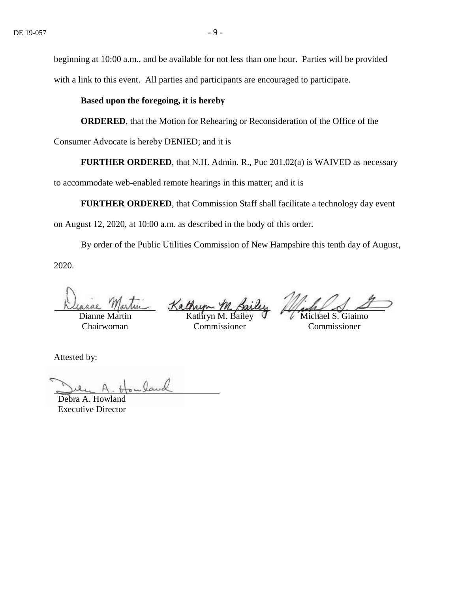beginning at 10:00 a.m., and be available for not less than one hour. Parties will be provided with a link to this event. All parties and participants are encouraged to participate.

## **Based upon the foregoing, it is hereby**

**ORDERED**, that the Motion for Rehearing or Reconsideration of the Office of the

Consumer Advocate is hereby DENIED; and it is

**FURTHER ORDERED**, that N.H. Admin. R., Puc 201.02(a) is WAIVED as necessary

to accommodate web-enabled remote hearings in this matter; and it is

**FURTHER ORDERED**, that Commission Staff shall facilitate a technology day event

on August 12, 2020, at 10:00 a.m. as described in the body of this order.

By order of the Public Utilities Commission of New Hampshire this tenth day of August, 2020.

Dianne Martin Chairwoman

Kathre Kathryn M. Bailey

Commissioner

Michael S. Giaimo Commissioner

Attested by:

Debra A. Howland Executive Director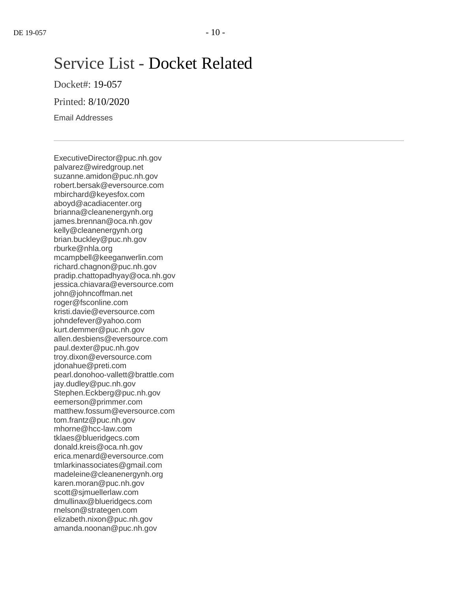# Service List - Docket Related

Docket#: 19-057

Printed: 8/10/2020

Email Addresses

ExecutiveDirector@puc.nh.gov palvarez@wiredgroup.net suzanne.amidon@puc.nh.gov robert.bersak@eversource.com mbirchard@keyesfox.com aboyd@acadiacenter.org brianna@cleanenergynh.org james.brennan@oca.nh.gov kelly@cleanenergynh.org brian.buckley@puc.nh.gov rburke@nhla.org mcampbell@keeganwerlin.com richard.chagnon@puc.nh.gov pradip.chattopadhyay@oca.nh.gov jessica.chiavara@eversource.com john@johncoffman.net roger@fsconline.com kristi.davie@eversource.com johndefever@yahoo.com kurt.demmer@puc.nh.gov allen.desbiens@eversource.com paul.dexter@puc.nh.gov troy.dixon@eversource.com jdonahue@preti.com pearl.donohoo-vallett@brattle.com jay.dudley@puc.nh.gov Stephen.Eckberg@puc.nh.gov eemerson@primmer.com matthew.fossum@eversource.com tom.frantz@puc.nh.gov mhorne@hcc-law.com tklaes@blueridgecs.com donald.kreis@oca.nh.gov erica.menard@eversource.com tmlarkinassociates@gmail.com madeleine@cleanenergynh.org karen.moran@puc.nh.gov scott@sjmuellerlaw.com dmullinax@blueridgecs.com rnelson@strategen.com elizabeth.nixon@puc.nh.gov amanda.noonan@puc.nh.gov